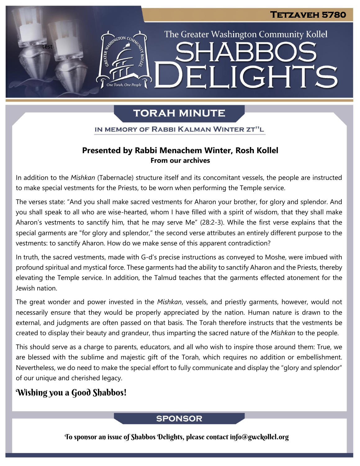The Greater Washington Community Kollel

ELIGHTS

# **TORAH MINUTE**

IN MEMORY OF RABBI KALMAN WINTER ZT"L

### **Presented by Rabbi Menachem Winter, Rosh Kollel From our archives**

In addition to the *Mishkan* (Tabernacle) structure itself and its concomitant vessels, the people are instructed to make special vestments for the Priests, to be worn when performing the Temple service.

The verses state: "And you shall make sacred vestments for Aharon your brother, for glory and splendor. And you shall speak to all who are wise-hearted, whom I have filled with a spirit of wisdom, that they shall make Aharon's vestments to sanctify him, that he may serve Me" (28:2-3). While the first verse explains that the special garments are "for glory and splendor," the second verse attributes an entirely different purpose to the vestments: to sanctify Aharon. How do we make sense of this apparent contradiction?

In truth, the sacred vestments, made with G-d's precise instructions as conveyed to Moshe, were imbued with profound spiritual and mystical force. These garments had the ability to sanctify Aharon and the Priests, thereby elevating the Temple service. In addition, the Talmud teaches that the garments effected atonement for the Jewish nation.

The great wonder and power invested in the *Mishkan*, vessels, and priestly garments, however, would not necessarily ensure that they would be properly appreciated by the nation. Human nature is drawn to the external, and judgments are often passed on that basis. The Torah therefore instructs that the vestments be created to display their beauty and grandeur, thus imparting the sacred nature of the *Mishkan* to the people.

This should serve as a charge to parents, educators, and all who wish to inspire those around them: True, we are blessed with the sublime and majestic gift of the Torah, which requires no addition or embellishment. Nevertheless, we do need to make the special effort to fully communicate and display the "glory and splendor" of our unique and cherished legacy.

## Wishing you a Good Shabbos!

test

## **SPONSOR**

To sponsor an issue of Shabbos Delights, please contact info@gwckollel.org